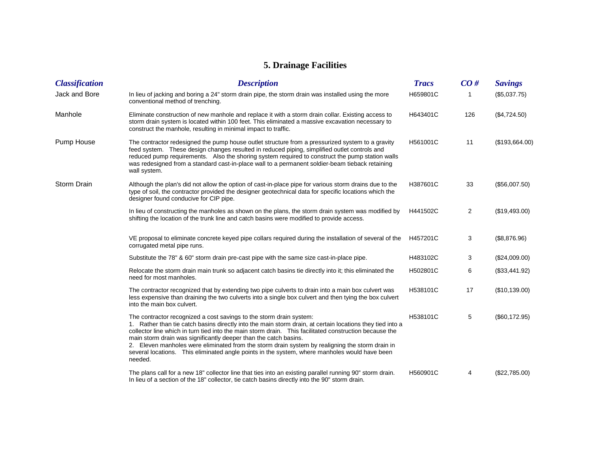## **5. Drainage Facilities**

| <b>Classification</b> | <b>Description</b>                                                                                                                                                                                                                                                                                                                                                                                                                                                                                                                                                            | <b>Tracs</b> | CO# | <b>Savings</b> |
|-----------------------|-------------------------------------------------------------------------------------------------------------------------------------------------------------------------------------------------------------------------------------------------------------------------------------------------------------------------------------------------------------------------------------------------------------------------------------------------------------------------------------------------------------------------------------------------------------------------------|--------------|-----|----------------|
| Jack and Bore         | In lieu of jacking and boring a 24" storm drain pipe, the storm drain was installed using the more<br>conventional method of trenching.                                                                                                                                                                                                                                                                                                                                                                                                                                       | H659801C     |     | (\$5,037.75)   |
| Manhole               | Eliminate construction of new manhole and replace it with a storm drain collar. Existing access to<br>storm drain system is located within 100 feet. This eliminated a massive excavation necessary to<br>construct the manhole, resulting in minimal impact to traffic.                                                                                                                                                                                                                                                                                                      | H643401C     | 126 | (\$4,724.50)   |
| Pump House            | The contractor redesigned the pump house outlet structure from a pressurized system to a gravity<br>feed system. These design changes resulted in reduced piping, simplified outlet controls and<br>reduced pump requirements. Also the shoring system required to construct the pump station walls<br>was redesigned from a standard cast-in-place wall to a permanent soldier-beam tieback retaining<br>wall system.                                                                                                                                                        | H561001C     | 11  | (\$193,664.00) |
| Storm Drain           | Although the plan's did not allow the option of cast-in-place pipe for various storm drains due to the<br>type of soil, the contractor provided the designer geotechnical data for specific locations which the<br>designer found conducive for CIP pipe.                                                                                                                                                                                                                                                                                                                     | H387601C     | 33  | (\$56,007.50)  |
|                       | In lieu of constructing the manholes as shown on the plans, the storm drain system was modified by<br>shifting the location of the trunk line and catch basins were modified to provide access.                                                                                                                                                                                                                                                                                                                                                                               | H441502C     | 2   | (\$19,493.00)  |
|                       | VE proposal to eliminate concrete keyed pipe collars required during the installation of several of the<br>corrugated metal pipe runs.                                                                                                                                                                                                                                                                                                                                                                                                                                        | H457201C     | 3   | (\$8,876.96)   |
|                       | Substitute the 78" & 60" storm drain pre-cast pipe with the same size cast-in-place pipe.                                                                                                                                                                                                                                                                                                                                                                                                                                                                                     | H483102C     | 3   | (\$24,009.00)  |
|                       | Relocate the storm drain main trunk so adjacent catch basins tie directly into it; this eliminated the<br>need for most manholes.                                                                                                                                                                                                                                                                                                                                                                                                                                             | H502801C     | 6   | (\$33,441.92)  |
|                       | The contractor recognized that by extending two pipe culverts to drain into a main box culvert was<br>less expensive than draining the two culverts into a single box culvert and then tying the box culvert<br>into the main box culvert.                                                                                                                                                                                                                                                                                                                                    | H538101C     | 17  | (\$10,139.00)  |
|                       | The contractor recognized a cost savings to the storm drain system:<br>1. Rather than tie catch basins directly into the main storm drain, at certain locations they tied into a<br>collector line which in turn tied into the main storm drain. This facilitated construction because the<br>main storm drain was significantly deeper than the catch basins.<br>2. Eleven manholes were eliminated from the storm drain system by realigning the storm drain in<br>several locations. This eliminated angle points in the system, where manholes would have been<br>needed. | H538101C     | 5   | (\$60,172.95)  |
|                       | The plans call for a new 18" collector line that ties into an existing parallel running 90" storm drain.<br>In lieu of a section of the 18" collector, tie catch basins directly into the 90" storm drain.                                                                                                                                                                                                                                                                                                                                                                    | H560901C     | 4   | (\$22,785.00)  |